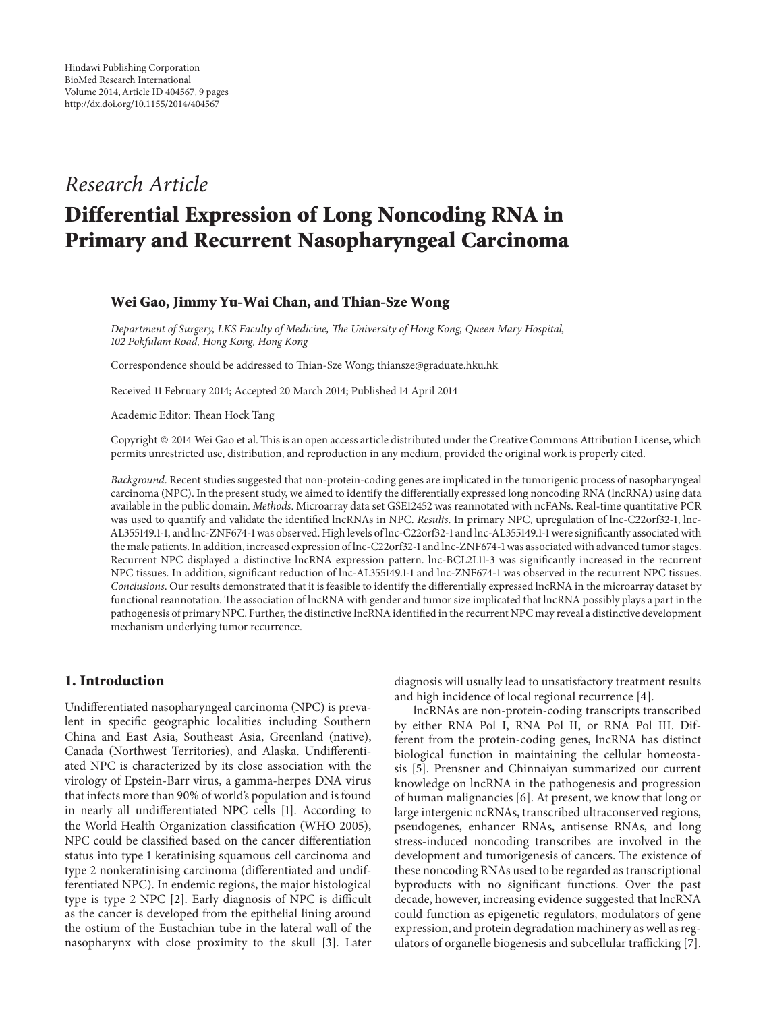# *Research Article*

# **Differential Expression of Long Noncoding RNA in Primary and Recurrent Nasopharyngeal Carcinoma**

#### **Wei Gao, Jimmy Yu-Wai Chan, and Thian-Sze Wong**

*Department of Surgery, LKS Faculty of Medicine, The University of Hong Kong, Queen Mary Hospital, 102 Pokfulam Road, Hong Kong, Hong Kong*

Correspondence should be addressed to Thian-Sze Wong; thiansze@graduate.hku.hk

Received 11 February 2014; Accepted 20 March 2014; Published 14 April 2014

Academic Editor: Thean Hock Tang

Copyright © 2014 Wei Gao et al. This is an open access article distributed under the Creative Commons Attribution License, which permits unrestricted use, distribution, and reproduction in any medium, provided the original work is properly cited.

*Background*. Recent studies suggested that non-protein-coding genes are implicated in the tumorigenic process of nasopharyngeal carcinoma (NPC). In the present study, we aimed to identify the differentially expressed long noncoding RNA (lncRNA) using data available in the public domain. *Methods*. Microarray data set GSE12452 was reannotated with ncFANs. Real-time quantitative PCR was used to quantify and validate the identified lncRNAs in NPC. *Results*. In primary NPC, upregulation of lnc-C22orf32-1, lnc-AL355149.1-1, and lnc-ZNF674-1 was observed. High levels of lnc-C22orf32-1 and lnc-AL355149.1-1 were significantly associated with the male patients. In addition, increased expression of lnc-C22orf32-1 and lnc-ZNF674-1 was associated with advanced tumor stages. Recurrent NPC displayed a distinctive lncRNA expression pattern. lnc-BCL2L11-3 was significantly increased in the recurrent NPC tissues. In addition, significant reduction of lnc-AL355149.1-1 and lnc-ZNF674-1 was observed in the recurrent NPC tissues. *Conclusions*. Our results demonstrated that it is feasible to identify the differentially expressed lncRNA in the microarray dataset by functional reannotation. The association of lncRNA with gender and tumor size implicated that lncRNA possibly plays a part in the pathogenesis of primary NPC. Further, the distinctive lncRNA identified in the recurrent NPC may reveal a distinctive development mechanism underlying tumor recurrence.

## **1. Introduction**

Undifferentiated nasopharyngeal carcinoma (NPC) is prevalent in specific geographic localities including Southern China and East Asia, Southeast Asia, Greenland (native), Canada (Northwest Territories), and Alaska. Undifferentiated NPC is characterized by its close association with the virology of Epstein-Barr virus, a gamma-herpes DNA virus that infects more than 90% of world's population and is found in nearly all undifferentiated NPC cells [\[1\]](#page-7-0). According to the World Health Organization classification (WHO 2005), NPC could be classified based on the cancer differentiation status into type 1 keratinising squamous cell carcinoma and type 2 nonkeratinising carcinoma (differentiated and undifferentiated NPC). In endemic regions, the major histological type is type 2 NPC [\[2](#page-8-0)]. Early diagnosis of NPC is difficult as the cancer is developed from the epithelial lining around the ostium of the Eustachian tube in the lateral wall of the nasopharynx with close proximity to the skull [\[3\]](#page-8-1). Later

diagnosis will usually lead to unsatisfactory treatment results and high incidence of local regional recurrence [\[4](#page-8-2)].

lncRNAs are non-protein-coding transcripts transcribed by either RNA Pol I, RNA Pol II, or RNA Pol III. Different from the protein-coding genes, lncRNA has distinct biological function in maintaining the cellular homeostasis [\[5](#page-8-3)]. Prensner and Chinnaiyan summarized our current knowledge on lncRNA in the pathogenesis and progression of human malignancies [\[6](#page-8-4)]. At present, we know that long or large intergenic ncRNAs, transcribed ultraconserved regions, pseudogenes, enhancer RNAs, antisense RNAs, and long stress-induced noncoding transcribes are involved in the development and tumorigenesis of cancers. The existence of these noncoding RNAs used to be regarded as transcriptional byproducts with no significant functions. Over the past decade, however, increasing evidence suggested that lncRNA could function as epigenetic regulators, modulators of gene expression, and protein degradation machinery as well as regulators of organelle biogenesis and subcellular trafficking [\[7](#page-8-5)].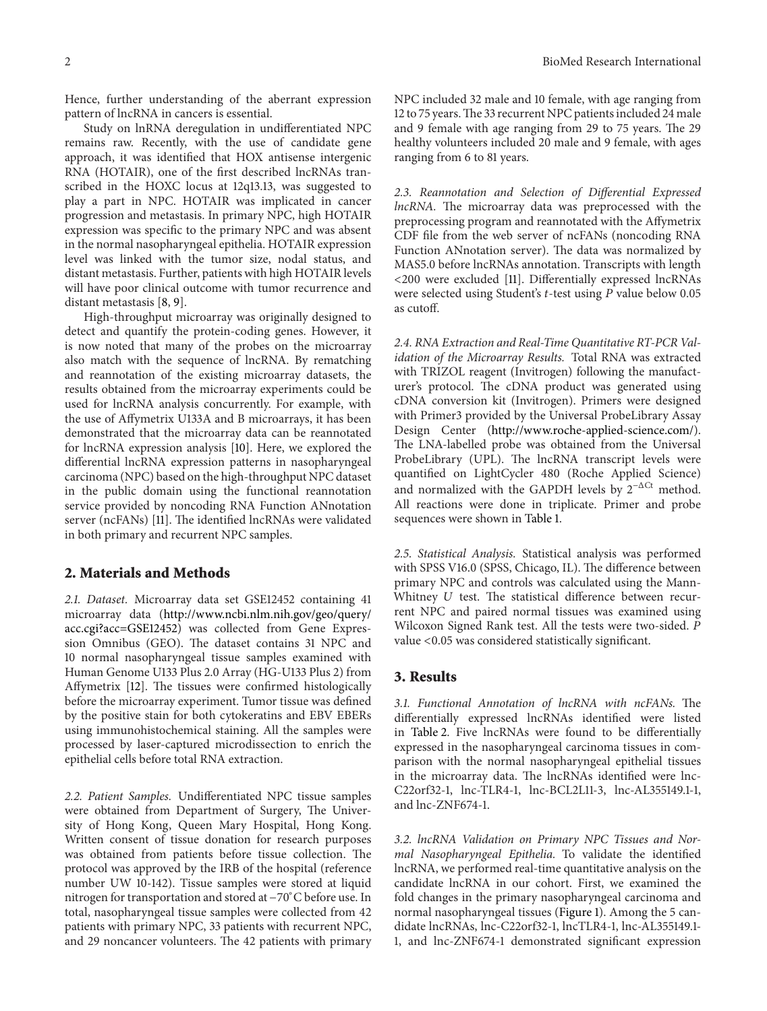Hence, further understanding of the aberrant expression pattern of lncRNA in cancers is essential.

Study on lnRNA deregulation in undifferentiated NPC remains raw. Recently, with the use of candidate gene approach, it was identified that HOX antisense intergenic RNA (HOTAIR), one of the first described lncRNAs transcribed in the HOXC locus at 12q13.13, was suggested to play a part in NPC. HOTAIR was implicated in cancer progression and metastasis. In primary NPC, high HOTAIR expression was specific to the primary NPC and was absent in the normal nasopharyngeal epithelia. HOTAIR expression level was linked with the tumor size, nodal status, and distant metastasis. Further, patients with high HOTAIR levels will have poor clinical outcome with tumor recurrence and distant metastasis [\[8](#page-8-6), [9\]](#page-8-7).

High-throughput microarray was originally designed to detect and quantify the protein-coding genes. However, it is now noted that many of the probes on the microarray also match with the sequence of lncRNA. By rematching and reannotation of the existing microarray datasets, the results obtained from the microarray experiments could be used for lncRNA analysis concurrently. For example, with the use of Affymetrix U133A and B microarrays, it has been demonstrated that the microarray data can be reannotated for lncRNA expression analysis [\[10](#page-8-8)]. Here, we explored the differential lncRNA expression patterns in nasopharyngeal carcinoma (NPC) based on the high-throughput NPC dataset in the public domain using the functional reannotation service provided by noncoding RNA Function ANnotation server (ncFANs) [\[11\]](#page-8-9). The identified lncRNAs were validated in both primary and recurrent NPC samples.

#### **2. Materials and Methods**

*2.1. Dataset.* Microarray data set GSE12452 containing 41 microarray data [\(http://www.ncbi.nlm.nih.gov/geo/query/](http://www.ncbi.nlm.nih.gov/geo/query/acc.cgi?acc=GSE12452) [acc.cgi?acc=GSE12452\)](http://www.ncbi.nlm.nih.gov/geo/query/acc.cgi?acc=GSE12452) was collected from Gene Expression Omnibus (GEO). The dataset contains 31 NPC and 10 normal nasopharyngeal tissue samples examined with Human Genome U133 Plus 2.0 Array (HG-U133 Plus 2) from Affymetrix [\[12](#page-8-10)]. The tissues were confirmed histologically before the microarray experiment. Tumor tissue was defined by the positive stain for both cytokeratins and EBV EBERs using immunohistochemical staining. All the samples were processed by laser-captured microdissection to enrich the epithelial cells before total RNA extraction.

*2.2. Patient Samples.* Undifferentiated NPC tissue samples were obtained from Department of Surgery, The University of Hong Kong, Queen Mary Hospital, Hong Kong. Written consent of tissue donation for research purposes was obtained from patients before tissue collection. The protocol was approved by the IRB of the hospital (reference number UW 10-142). Tissue samples were stored at liquid nitrogen for transportation and stored at −70<sup>∘</sup> C before use. In total, nasopharyngeal tissue samples were collected from 42 patients with primary NPC, 33 patients with recurrent NPC, and 29 noncancer volunteers. The 42 patients with primary NPC included 32 male and 10 female, with age ranging from 12 to 75 years.The 33 recurrent NPC patients included 24 male and 9 female with age ranging from 29 to 75 years. The 29 healthy volunteers included 20 male and 9 female, with ages ranging from 6 to 81 years.

*2.3. Reannotation and Selection of Differential Expressed lncRNA.* The microarray data was preprocessed with the preprocessing program and reannotated with the Affymetrix CDF file from the web server of ncFANs (noncoding RNA Function ANnotation server). The data was normalized by MAS5.0 before lncRNAs annotation. Transcripts with length <200 were excluded [\[11\]](#page-8-9). Differentially expressed lncRNAs were selected using Student's  $t$ -test using  $P$  value below 0.05 as cutoff.

*2.4. RNA Extraction and Real-Time Quantitative RT-PCR Validation of the Microarray Results.* Total RNA was extracted with TRIZOL reagent (Invitrogen) following the manufacturer's protocol. The cDNA product was generated using cDNA conversion kit (Invitrogen). Primers were designed with Primer3 provided by the Universal ProbeLibrary Assay Design Center [\(http://www.roche-applied-science.com/\)](http://www.roche-applied-science.com/). The LNA-labelled probe was obtained from the Universal ProbeLibrary (UPL). The lncRNA transcript levels were quantified on LightCycler 480 (Roche Applied Science) and normalized with the GAPDH levels by  $2^{-\Delta Ct}$  method. All reactions were done in triplicate. Primer and probe sequences were shown in [Table 1.](#page-2-0)

*2.5. Statistical Analysis.* Statistical analysis was performed with SPSS V16.0 (SPSS, Chicago, IL). The difference between primary NPC and controls was calculated using the Mann-Whitney  $U$  test. The statistical difference between recurrent NPC and paired normal tissues was examined using Wilcoxon Signed Rank test. All the tests were two-sided. P value <0.05 was considered statistically significant.

#### **3. Results**

*3.1. Functional Annotation of lncRNA with ncFANs.* The differentially expressed lncRNAs identified were listed in [Table 2.](#page-3-0) Five lncRNAs were found to be differentially expressed in the nasopharyngeal carcinoma tissues in comparison with the normal nasopharyngeal epithelial tissues in the microarray data. The lncRNAs identified were lnc-C22orf32-1, lnc-TLR4-1, lnc-BCL2L11-3, lnc-AL355149.1-1, and lnc-ZNF674-1.

*3.2. lncRNA Validation on Primary NPC Tissues and Normal Nasopharyngeal Epithelia.* To validate the identified lncRNA, we performed real-time quantitative analysis on the candidate lncRNA in our cohort. First, we examined the fold changes in the primary nasopharyngeal carcinoma and normal nasopharyngeal tissues [\(Figure 1\)](#page-2-1). Among the 5 candidate lncRNAs, lnc-C22orf32-1, lncTLR4-1, lnc-AL355149.1- 1, and lnc-ZNF674-1 demonstrated significant expression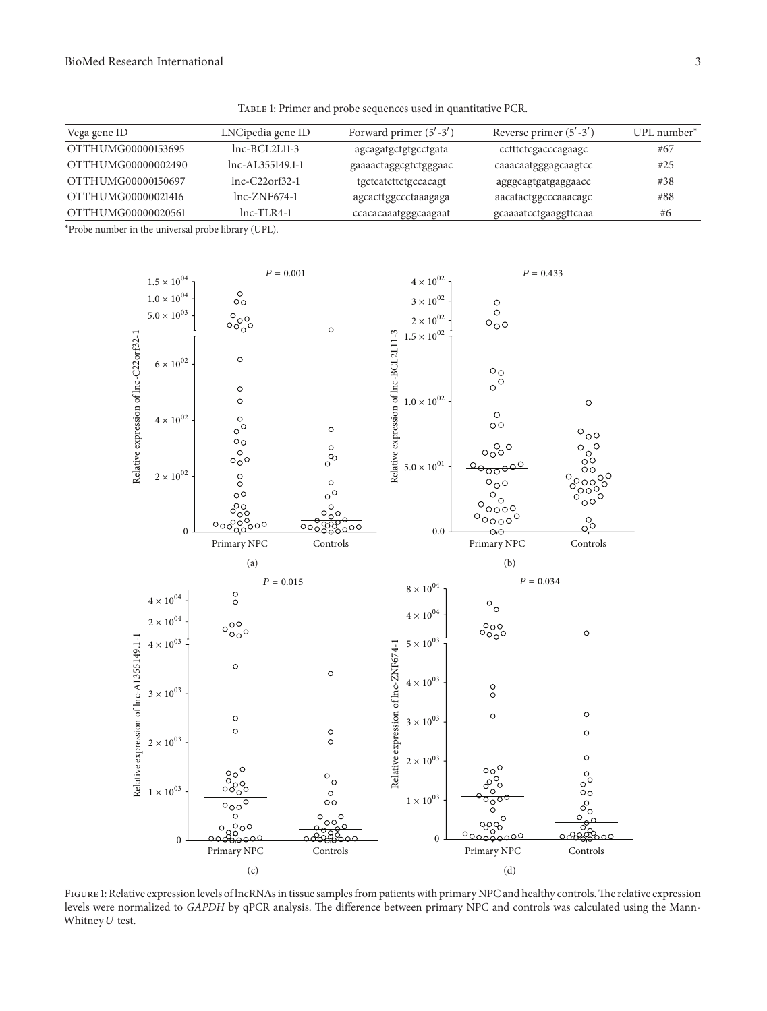<span id="page-2-0"></span>Table 1: Primer and probe sequences used in quantitative PCR.

| Vega gene ID       | LNCipedia gene ID    | Forward primer $(5' - 3')$ | Reverse primer $(5' - 3')$ | UPL number* |
|--------------------|----------------------|----------------------------|----------------------------|-------------|
| OTTHUMG00000153695 | $Inc-BCI.2L.11-3$    | agcagatgctgtgcctgata       | cctttctcgacccagaagc        | #67         |
| OTTHUMG00000002490 | $lnc-AL.355149.1-1$  | gaaaactaggcgtctgggaac      | caaacaatgggagcaagtcc       | #25         |
| OTTHUMG00000150697 | $Inc-C22$ or $f32-1$ | tgctcatcttctgccacagt       | agggcagtgatgaggaacc        | #38         |
| OTTHUMG00000021416 | $lnc-ZNF674-1$       | agcacttggccctaaagaga       | aacatactggcccaaacagc       | #88         |
| OTTHUMG00000020561 | $Inc-TLR4-1$         | ccacacaaatgggcaagaat       | gcaaaatcctgaaggttcaaa      | #6          |

∗ Probe number in the universal probe library (UPL).



<span id="page-2-1"></span>FIGURE 1: Relative expression levels of lncRNAs in tissue samples from patients with primary NPC and healthy controls. The relative expression levels were normalized to *GAPDH* by qPCR analysis. The difference between primary NPC and controls was calculated using the Mann-Whitney  $U$  test.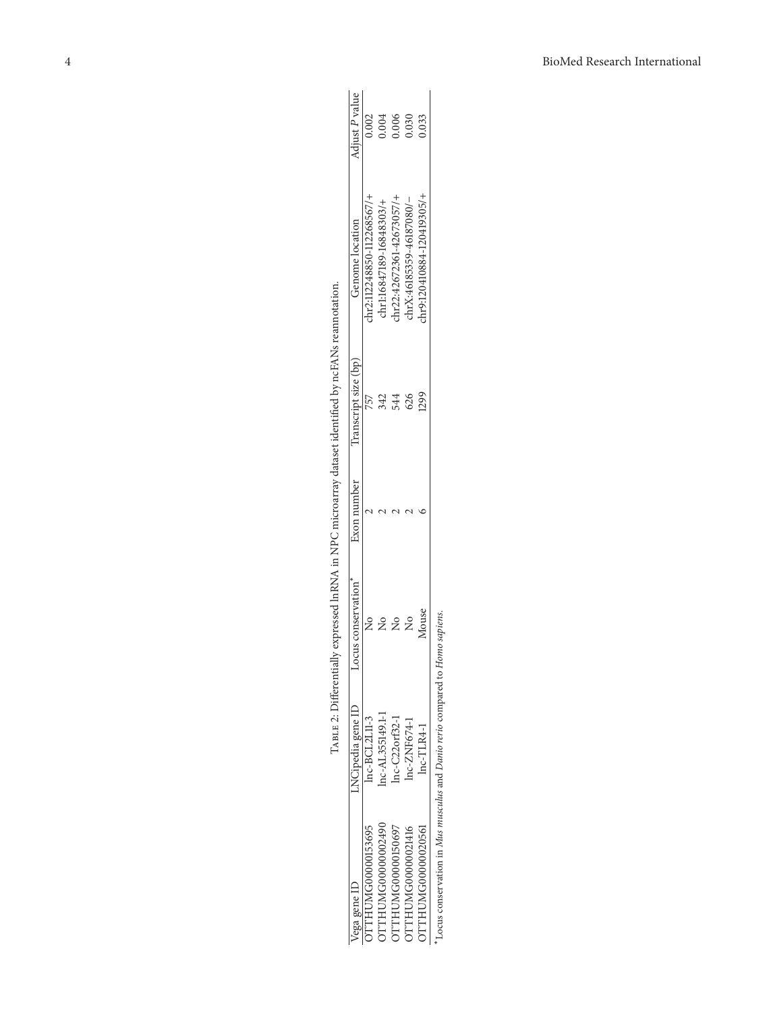| lega gene ID                                                                | NCipedia gene ID | ocus conservation | Exon number | Transcript size (bp) | Genome location            | Adjust P value |
|-----------------------------------------------------------------------------|------------------|-------------------|-------------|----------------------|----------------------------|----------------|
| TTHUMG00000153695                                                           | $Inc-BCL2L11-3$  |                   |             |                      | chr2:112248850-112268567/- | 0.002          |
| JTTHUMG00000002490                                                          | nc-AL355149.1-1  |                   |             |                      | chr1:16847189-16848303/+   | 1.004          |
| DTTHUMG00000150697                                                          | nc-C22orf32-1    |                   |             | 544                  | chr22:42672361-42673057/-  | 0.006          |
| JTTHUMG00000021416                                                          | nc-ZNF674-1      |                   |             | 626                  | chrX:46185359-46187080/-   | 0.030          |
| DTTHUMG00000020561                                                          | $lnc$ -TLR4-1    | Mouse             |             |                      | hr9:120410884-120419305/+  | 0.33           |
| Locus conservation in Mus musculus and Danio rerio compared to Homo sapiens |                  |                   |             |                      |                            |                |

<span id="page-3-0"></span>TABLE 2: Differentially expressed lnRNA in NPC microarray dataset identified by ncFANs reannotation. Table 2: Differentially expressed lnRNA in NPC microarray dataset identified by ncFANs reannotation.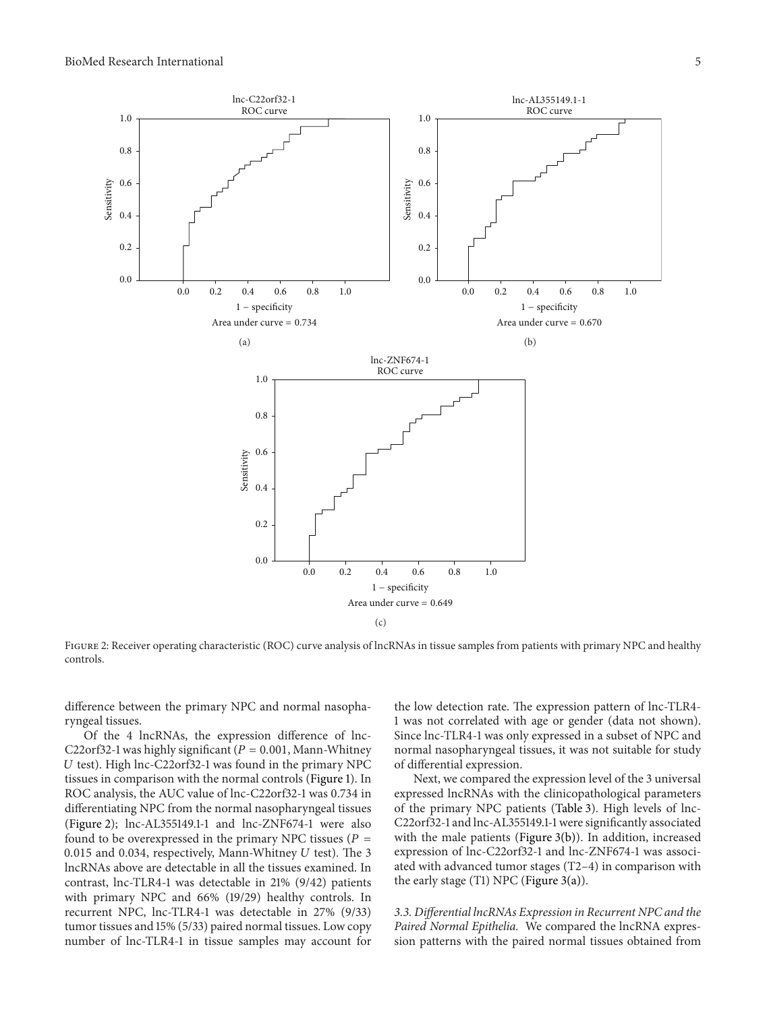

<span id="page-4-0"></span>FIGURE 2: Receiver operating characteristic (ROC) curve analysis of lncRNAs in tissue samples from patients with primary NPC and healthy controls.

difference between the primary NPC and normal nasopharyngeal tissues.

Of the 4 lncRNAs, the expression difference of lnc-C22orf32-1 was highly significant ( $P = 0.001$ , Mann-Whitney  $U$  test). High lnc-C22orf32-1 was found in the primary NPC tissues in comparison with the normal controls [\(Figure 1\)](#page-2-1). In ROC analysis, the AUC value of lnc-C22orf32-1 was 0.734 in differentiating NPC from the normal nasopharyngeal tissues [\(Figure 2\)](#page-4-0); lnc-AL355149.1-1 and lnc-ZNF674-1 were also found to be overexpressed in the primary NPC tissues ( $P =$ 0.015 and 0.034, respectively, Mann-Whitney  $U$  test). The 3 lncRNAs above are detectable in all the tissues examined. In contrast, lnc-TLR4-1 was detectable in 21% (9/42) patients with primary NPC and 66% (19/29) healthy controls. In recurrent NPC, lnc-TLR4-1 was detectable in 27% (9/33) tumor tissues and 15% (5/33) paired normal tissues. Low copy number of lnc-TLR4-1 in tissue samples may account for

the low detection rate. The expression pattern of lnc-TLR4- 1 was not correlated with age or gender (data not shown). Since lnc-TLR4-1 was only expressed in a subset of NPC and normal nasopharyngeal tissues, it was not suitable for study of differential expression.

Next, we compared the expression level of the 3 universal expressed lncRNAs with the clinicopathological parameters of the primary NPC patients [\(Table 3\)](#page-5-0). High levels of lnc-C22orf32-1 and lnc-AL355149.1-1 were significantly associated with the male patients [\(Figure 3\(b\)\)](#page-6-0). In addition, increased expression of lnc-C22orf32-1 and lnc-ZNF674-1 was associated with advanced tumor stages (T2–4) in comparison with the early stage (T1) NPC [\(Figure 3\(a\)\)](#page-6-1).

*3.3. Differential lncRNAs Expression in Recurrent NPC and the Paired Normal Epithelia.* We compared the lncRNA expression patterns with the paired normal tissues obtained from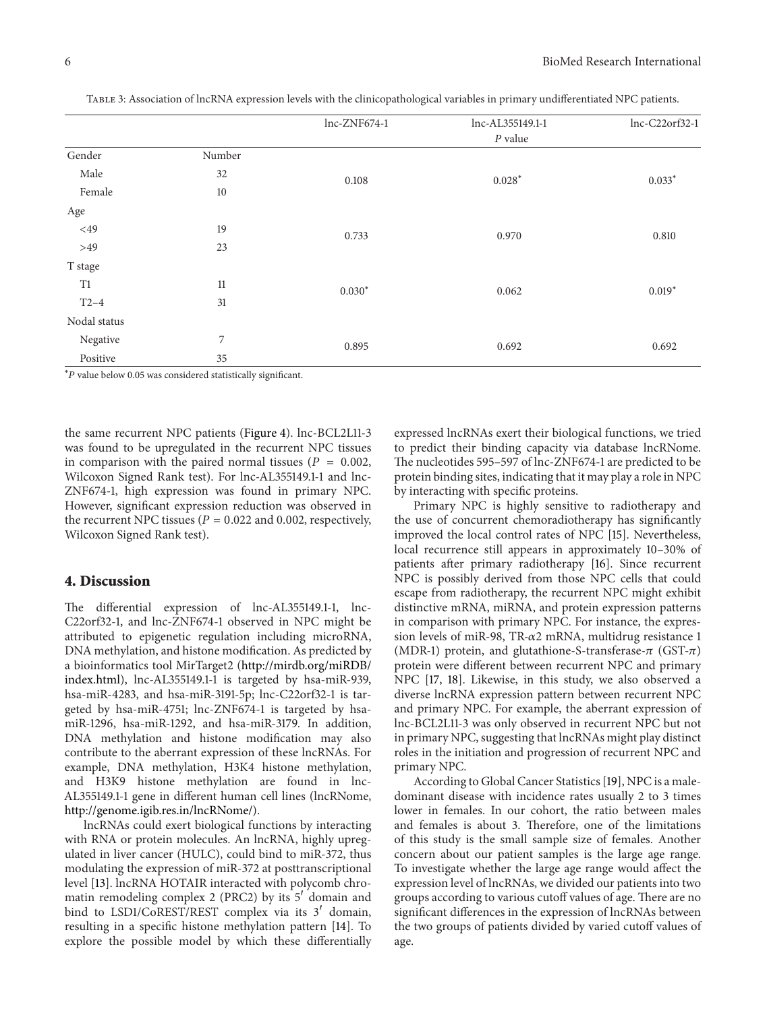|              |        | lnc-ZNF674-1 | lnc-AL355149.1-1       | lnc-C22orf32-1 |
|--------------|--------|--------------|------------------------|----------------|
|              |        |              | $\boldsymbol{P}$ value |                |
| Gender       | Number |              |                        |                |
| Male         | 32     | 0.108        | $0.028*$               | $0.033*$       |
| Female       | 10     |              |                        |                |
| Age          |        |              |                        |                |
| $<$ 49       | 19     | 0.733        | 0.970                  | 0.810          |
| $>49$        | 23     |              |                        |                |
| T stage      |        |              |                        |                |
| T1           | 11     | $0.030*$     | 0.062                  | $0.019*$       |
| $T2-4$       | 31     |              |                        |                |
| Nodal status |        |              |                        |                |
| Negative     | 7      | 0.895        | 0.692                  | 0.692          |
| Positive     | 35     |              |                        |                |

<span id="page-5-0"></span>Table 3: Association of lncRNA expression levels with the clinicopathological variables in primary undifferentiated NPC patients.

\*P value below 0.05 was considered statistically significant.

the same recurrent NPC patients [\(Figure 4\)](#page-7-1). lnc-BCL2L11-3 was found to be upregulated in the recurrent NPC tissues in comparison with the paired normal tissues ( $P = 0.002$ , Wilcoxon Signed Rank test). For lnc-AL355149.1-1 and lnc-ZNF674-1, high expression was found in primary NPC. However, significant expression reduction was observed in the recurrent NPC tissues ( $P = 0.022$  and 0.002, respectively, Wilcoxon Signed Rank test).

#### **4. Discussion**

The differential expression of lnc-AL355149.1-1, lnc-C22orf32-1, and lnc-ZNF674-1 observed in NPC might be attributed to epigenetic regulation including microRNA, DNA methylation, and histone modification. As predicted by a bioinformatics tool MirTarget2 [\(http://mirdb.org/miRDB/](http://mirdb.org/miRDB/index.html) [index.html\)](http://mirdb.org/miRDB/index.html), lnc-AL355149.1-1 is targeted by hsa-miR-939, hsa-miR-4283, and hsa-miR-3191-5p; lnc-C22orf32-1 is targeted by hsa-miR-4751; lnc-ZNF674-1 is targeted by hsamiR-1296, hsa-miR-1292, and hsa-miR-3179. In addition, DNA methylation and histone modification may also contribute to the aberrant expression of these lncRNAs. For example, DNA methylation, H3K4 histone methylation, and H3K9 histone methylation are found in lnc-AL355149.1-1 gene in different human cell lines (lncRNome, [http://genome.igib.res.in/lncRNome/\)](http://genome.igib.res.in/lncRNome/).

lncRNAs could exert biological functions by interacting with RNA or protein molecules. An lncRNA, highly upregulated in liver cancer (HULC), could bind to miR-372, thus modulating the expression of miR-372 at posttranscriptional level [\[13](#page-8-11)]. lncRNA HOTAIR interacted with polycomb chromatin remodeling complex 2 (PRC2) by its  $5'$  domain and bind to LSD1/CoREST/REST complex via its  $3'$  domain, resulting in a specific histone methylation pattern [\[14](#page-8-12)]. To explore the possible model by which these differentially

expressed lncRNAs exert their biological functions, we tried to predict their binding capacity via database lncRNome. The nucleotides 595–597 of lnc-ZNF674-1 are predicted to be protein binding sites, indicating that it may play a role in NPC by interacting with specific proteins.

Primary NPC is highly sensitive to radiotherapy and the use of concurrent chemoradiotherapy has significantly improved the local control rates of NPC [\[15\]](#page-8-13). Nevertheless, local recurrence still appears in approximately 10–30% of patients after primary radiotherapy [\[16](#page-8-14)]. Since recurrent NPC is possibly derived from those NPC cells that could escape from radiotherapy, the recurrent NPC might exhibit distinctive mRNA, miRNA, and protein expression patterns in comparison with primary NPC. For instance, the expression levels of miR-98, TR- $\alpha$ 2 mRNA, multidrug resistance 1 (MDR-1) protein, and glutathione-S-transferase- $\pi$  (GST- $\pi$ ) protein were different between recurrent NPC and primary NPC [\[17,](#page-8-15) [18\]](#page-8-16). Likewise, in this study, we also observed a diverse lncRNA expression pattern between recurrent NPC and primary NPC. For example, the aberrant expression of lnc-BCL2L11-3 was only observed in recurrent NPC but not in primary NPC, suggesting that lncRNAs might play distinct roles in the initiation and progression of recurrent NPC and primary NPC.

According to Global Cancer Statistics [\[19](#page-8-17)], NPC is a maledominant disease with incidence rates usually 2 to 3 times lower in females. In our cohort, the ratio between males and females is about 3. Therefore, one of the limitations of this study is the small sample size of females. Another concern about our patient samples is the large age range. To investigate whether the large age range would affect the expression level of lncRNAs, we divided our patients into two groups according to various cutoff values of age. There are no significant differences in the expression of lncRNAs between the two groups of patients divided by varied cutoff values of age.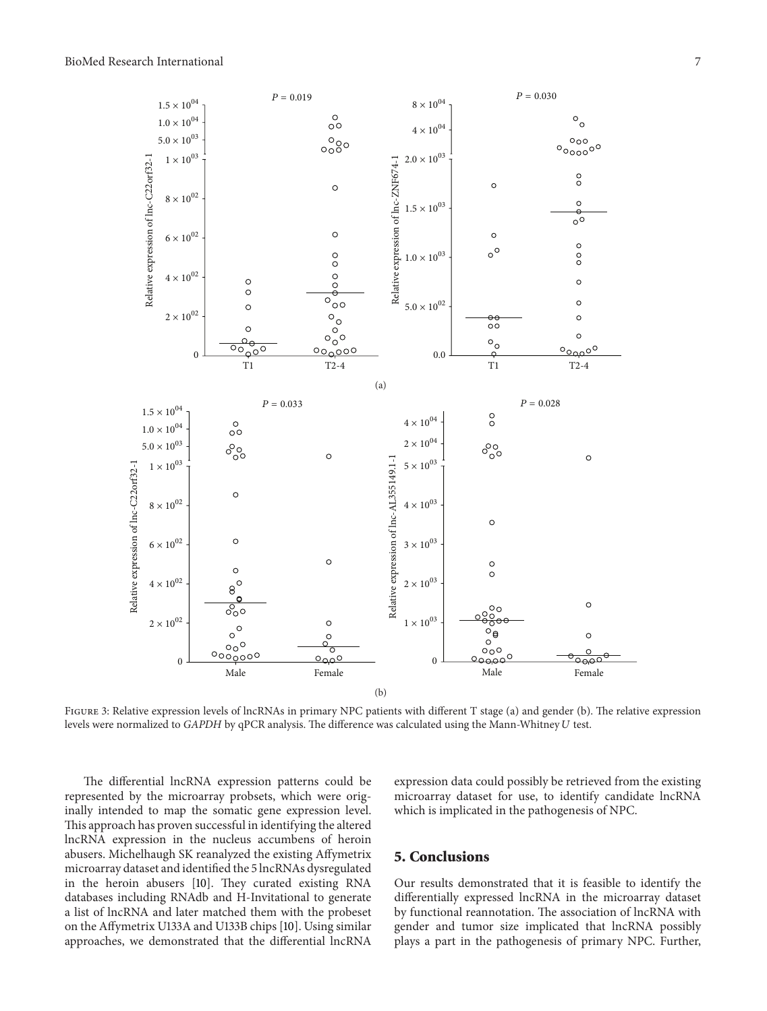<span id="page-6-1"></span>

<span id="page-6-0"></span>FIGURE 3: Relative expression levels of lncRNAs in primary NPC patients with different T stage (a) and gender (b). The relative expression levels were normalized to *GAPDH* by qPCR analysis. The difference was calculated using the Mann-Whitney U test.

The differential lncRNA expression patterns could be represented by the microarray probsets, which were originally intended to map the somatic gene expression level. This approach has proven successful in identifying the altered lncRNA expression in the nucleus accumbens of heroin abusers. Michelhaugh SK reanalyzed the existing Affymetrix microarray dataset and identified the 5 lncRNAs dysregulated in the heroin abusers [\[10\]](#page-8-8). They curated existing RNA databases including RNAdb and H-Invitational to generate a list of lncRNA and later matched them with the probeset on the Affymetrix U133A and U133B chips [\[10](#page-8-8)]. Using similar approaches, we demonstrated that the differential lncRNA

expression data could possibly be retrieved from the existing microarray dataset for use, to identify candidate lncRNA which is implicated in the pathogenesis of NPC.

### **5. Conclusions**

Our results demonstrated that it is feasible to identify the differentially expressed lncRNA in the microarray dataset by functional reannotation. The association of lncRNA with gender and tumor size implicated that lncRNA possibly plays a part in the pathogenesis of primary NPC. Further,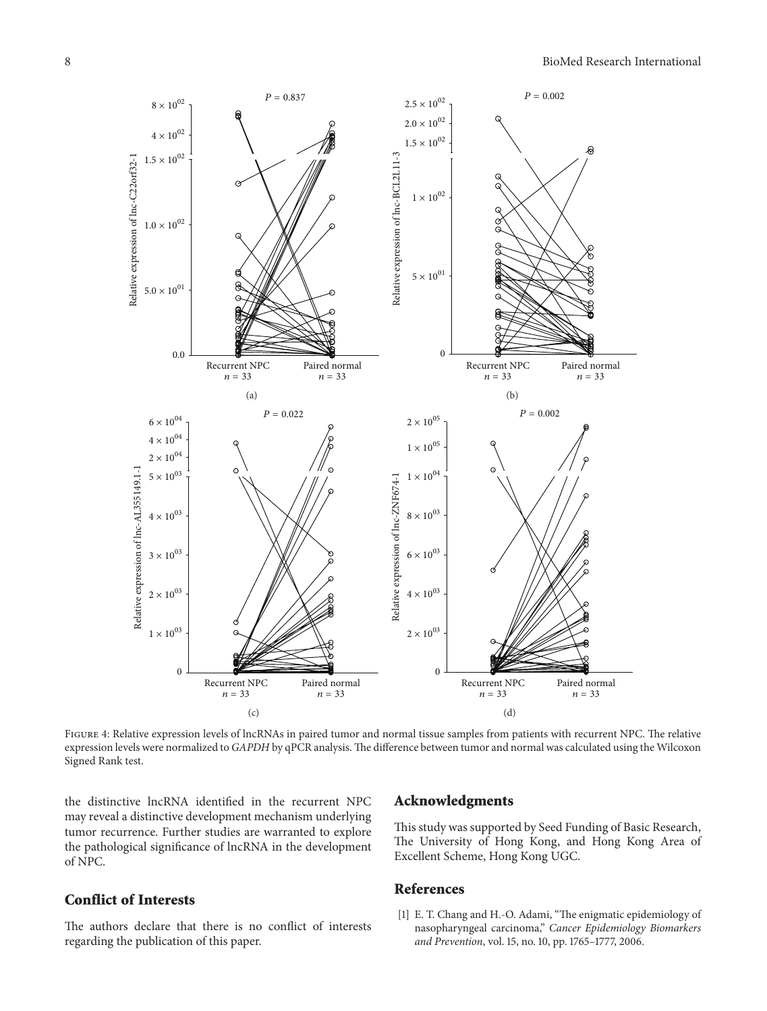

<span id="page-7-1"></span>Figure 4: Relative expression levels of lncRNAs in paired tumor and normal tissue samples from patients with recurrent NPC. The relative expression levels were normalized to *GAPDH* by qPCR analysis.The difference between tumor and normal was calculated using the Wilcoxon Signed Rank test.

the distinctive lncRNA identified in the recurrent NPC may reveal a distinctive development mechanism underlying tumor recurrence. Further studies are warranted to explore the pathological significance of lncRNA in the development of NPC.

#### **Conflict of Interests**

The authors declare that there is no conflict of interests regarding the publication of this paper.

#### **Acknowledgments**

This study was supported by Seed Funding of Basic Research, The University of Hong Kong, and Hong Kong Area of Excellent Scheme, Hong Kong UGC.

#### **References**

<span id="page-7-0"></span>[1] E. T. Chang and H.-O. Adami, "The enigmatic epidemiology of nasopharyngeal carcinoma," *Cancer Epidemiology Biomarkers and Prevention*, vol. 15, no. 10, pp. 1765–1777, 2006.